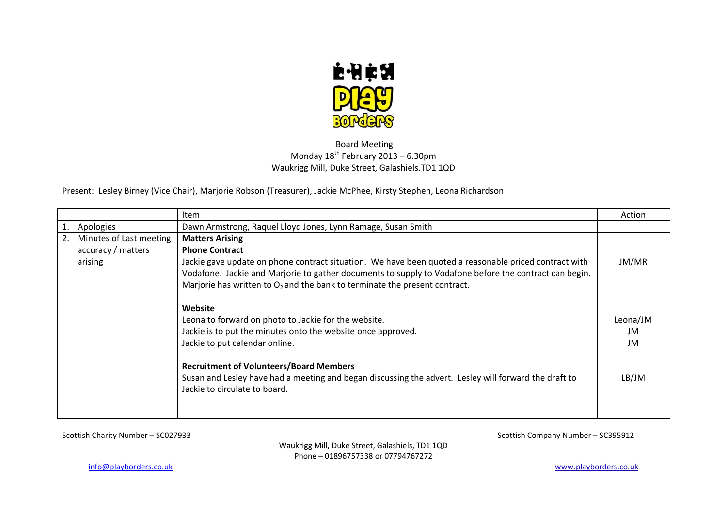

## Board Meeting Monday  $18^{th}$  February 2013 – 6.30pm Waukrigg Mill, Duke Street, Galashiels.TD1 1QD

Present: Lesley Birney (Vice Chair), Marjorie Robson (Treasurer), Jackie McPhee, Kirsty Stephen, Leona Richardson

|                                                          | <b>Item</b>                                                                                                                                                                                                                                                                                                                                         | Action                |
|----------------------------------------------------------|-----------------------------------------------------------------------------------------------------------------------------------------------------------------------------------------------------------------------------------------------------------------------------------------------------------------------------------------------------|-----------------------|
| Apologies                                                | Dawn Armstrong, Raquel Lloyd Jones, Lynn Ramage, Susan Smith                                                                                                                                                                                                                                                                                        |                       |
| Minutes of Last meeting<br>accuracy / matters<br>arising | <b>Matters Arising</b><br><b>Phone Contract</b><br>Jackie gave update on phone contract situation. We have been quoted a reasonable priced contract with<br>Vodafone. Jackie and Marjorie to gather documents to supply to Vodafone before the contract can begin.<br>Marjorie has written to $O_2$ and the bank to terminate the present contract. | JM/MR                 |
|                                                          | Website<br>Leona to forward on photo to Jackie for the website.<br>Jackie is to put the minutes onto the website once approved.<br>Jackie to put calendar online.                                                                                                                                                                                   | Leona/JM<br>JM.<br>JM |
|                                                          | <b>Recruitment of Volunteers/Board Members</b><br>Susan and Lesley have had a meeting and began discussing the advert. Lesley will forward the draft to<br>Jackie to circulate to board.                                                                                                                                                            | LB/JM                 |

Scottish Charity Number – SC027933 Scottish Company Number – SC395912

Waukrigg Mill, Duke Street, Galashiels, TD1 1QD Phone – 01896757338 or 07794767272

[info@playborders.co.uk](mailto:info@playborders.co.uk) www.playborders.co.uk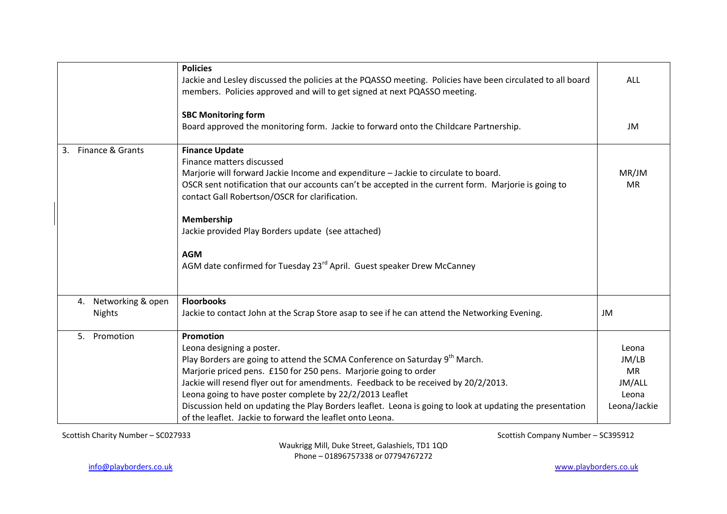|                                          | <b>Policies</b><br>Jackie and Lesley discussed the policies at the PQASSO meeting. Policies have been circulated to all board<br>members. Policies approved and will to get signed at next PQASSO meeting.                                                                                                                                                                                                                                                                                                                        | <b>ALL</b>                                                     |
|------------------------------------------|-----------------------------------------------------------------------------------------------------------------------------------------------------------------------------------------------------------------------------------------------------------------------------------------------------------------------------------------------------------------------------------------------------------------------------------------------------------------------------------------------------------------------------------|----------------------------------------------------------------|
|                                          | <b>SBC Monitoring form</b><br>Board approved the monitoring form. Jackie to forward onto the Childcare Partnership.                                                                                                                                                                                                                                                                                                                                                                                                               | JM                                                             |
| Finance & Grants<br>3.                   | <b>Finance Update</b><br>Finance matters discussed<br>Marjorie will forward Jackie Income and expenditure - Jackie to circulate to board.<br>OSCR sent notification that our accounts can't be accepted in the current form. Marjorie is going to<br>contact Gall Robertson/OSCR for clarification.<br>Membership<br>Jackie provided Play Borders update (see attached)<br><b>AGM</b><br>AGM date confirmed for Tuesday 23 <sup>rd</sup> April. Guest speaker Drew McCanney                                                       | MR/JM<br><b>MR</b>                                             |
| Networking & open<br>4.<br><b>Nights</b> | <b>Floorbooks</b><br>Jackie to contact John at the Scrap Store asap to see if he can attend the Networking Evening.                                                                                                                                                                                                                                                                                                                                                                                                               | JM                                                             |
| 5. Promotion                             | Promotion<br>Leona designing a poster.<br>Play Borders are going to attend the SCMA Conference on Saturday 9 <sup>th</sup> March.<br>Marjorie priced pens. £150 for 250 pens. Marjorie going to order<br>Jackie will resend flyer out for amendments. Feedback to be received by 20/2/2013.<br>Leona going to have poster complete by 22/2/2013 Leaflet<br>Discussion held on updating the Play Borders leaflet. Leona is going to look at updating the presentation<br>of the leaflet. Jackie to forward the leaflet onto Leona. | Leona<br>JM/LB<br><b>MR</b><br>JM/ALL<br>Leona<br>Leona/Jackie |

Scottish Charity Number – SC027933 Scottish Company Number – SC395912

Waukrigg Mill, Duke Street, Galashiels, TD1 1QD Phone – 01896757338 or 07794767272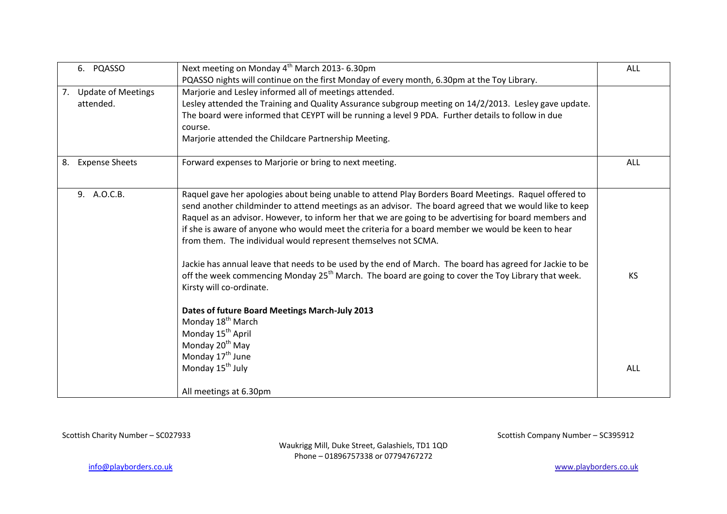|    | 6. PQASSO             | Next meeting on Monday 4 <sup>th</sup> March 2013-6.30pm                                                       | <b>ALL</b> |
|----|-----------------------|----------------------------------------------------------------------------------------------------------------|------------|
|    |                       | PQASSO nights will continue on the first Monday of every month, 6.30pm at the Toy Library.                     |            |
|    | 7. Update of Meetings | Marjorie and Lesley informed all of meetings attended.                                                         |            |
|    | attended.             | Lesley attended the Training and Quality Assurance subgroup meeting on 14/2/2013. Lesley gave update.          |            |
|    |                       | The board were informed that CEYPT will be running a level 9 PDA. Further details to follow in due             |            |
|    |                       | course.                                                                                                        |            |
|    |                       | Marjorie attended the Childcare Partnership Meeting.                                                           |            |
| 8. | <b>Expense Sheets</b> | Forward expenses to Marjorie or bring to next meeting.                                                         | <b>ALL</b> |
|    | 9. A.O.C.B.           | Raquel gave her apologies about being unable to attend Play Borders Board Meetings. Raquel offered to          |            |
|    |                       | send another childminder to attend meetings as an advisor. The board agreed that we would like to keep         |            |
|    |                       | Raquel as an advisor. However, to inform her that we are going to be advertising for board members and         |            |
|    |                       | if she is aware of anyone who would meet the criteria for a board member we would be keen to hear              |            |
|    |                       | from them. The individual would represent themselves not SCMA.                                                 |            |
|    |                       | Jackie has annual leave that needs to be used by the end of March. The board has agreed for Jackie to be       |            |
|    |                       | off the week commencing Monday 25 <sup>th</sup> March. The board are going to cover the Toy Library that week. | KS         |
|    |                       | Kirsty will co-ordinate.                                                                                       |            |
|    |                       | Dates of future Board Meetings March-July 2013                                                                 |            |
|    |                       | Monday 18 <sup>th</sup> March                                                                                  |            |
|    |                       | Monday 15 <sup>th</sup> April                                                                                  |            |
|    |                       | Monday 20 <sup>th</sup> May                                                                                    |            |
|    |                       | Monday 17 <sup>th</sup> June                                                                                   |            |
|    |                       | Monday 15 <sup>th</sup> July                                                                                   | ALL        |
|    |                       | All meetings at 6.30pm                                                                                         |            |

Waukrigg Mill, Duke Street, Galashiels, TD1 1QD Phone – 01896757338 or 07794767272

Scottish Charity Number – SC027933 Scottish Company Number – SC395912

[info@playborders.co.uk](mailto:info@playborders.co.uk) www.playborders.co.uk